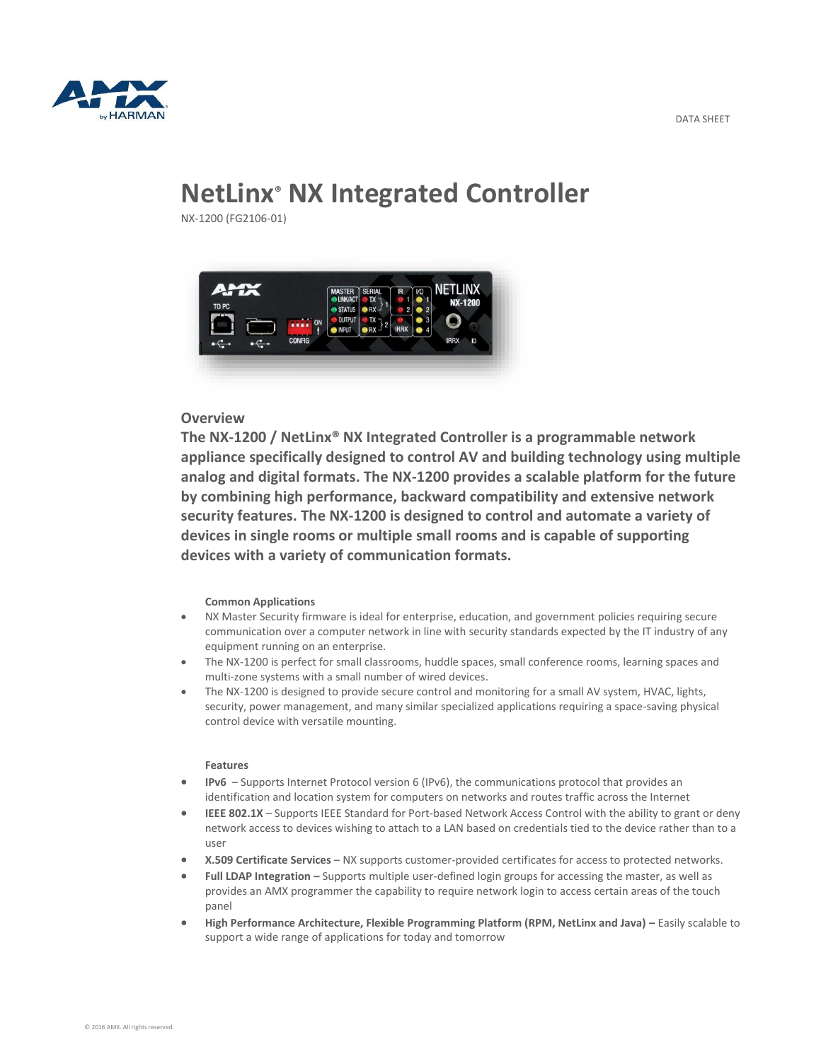

# **NetLinx® NX Integrated Controller**

NX-1200 (FG2106-01)



# **Overview**

**The NX-1200 / NetLinx® NX Integrated Controller is a programmable network appliance specifically designed to control AV and building technology using multiple analog and digital formats. The NX-1200 provides a scalable platform for the future by combining high performance, backward compatibility and extensive network security features. The NX-1200 is designed to control and automate a variety of devices in single rooms or multiple small rooms and is capable of supporting devices with a variety of communication formats.**

#### **Common Applications**

- NX Master Security firmware is ideal for enterprise, education, and government policies requiring secure communication over a computer network in line with security standards expected by the IT industry of any equipment running on an enterprise.
- The NX-1200 is perfect for small classrooms, huddle spaces, small conference rooms, learning spaces and multi-zone systems with a small number of wired devices.
- The NX-1200 is designed to provide secure control and monitoring for a small AV system, HVAC, lights, security, power management, and many similar specialized applications requiring a space-saving physical control device with versatile mounting.

## **Features**

- **IPv6**  Supports Internet Protocol version 6 (IPv6), the communications protocol that provides an identification and location system for computers on networks and routes traffic across the Internet
- **IEEE 802.1X** Supports IEEE Standard for Port-based Network Access Control with the ability to grant or deny network access to devices wishing to attach to a LAN based on credentials tied to the device rather than to a user
- **X.509 Certificate Services** NX supports customer-provided certificates for access to protected networks.
- **Full LDAP Integration –** Supports multiple user-defined login groups for accessing the master, as well as provides an AMX programmer the capability to require network login to access certain areas of the touch panel
- **High Performance Architecture, Flexible Programming Platform (RPM, NetLinx and Java) –** Easily scalable to support a wide range of applications for today and tomorrow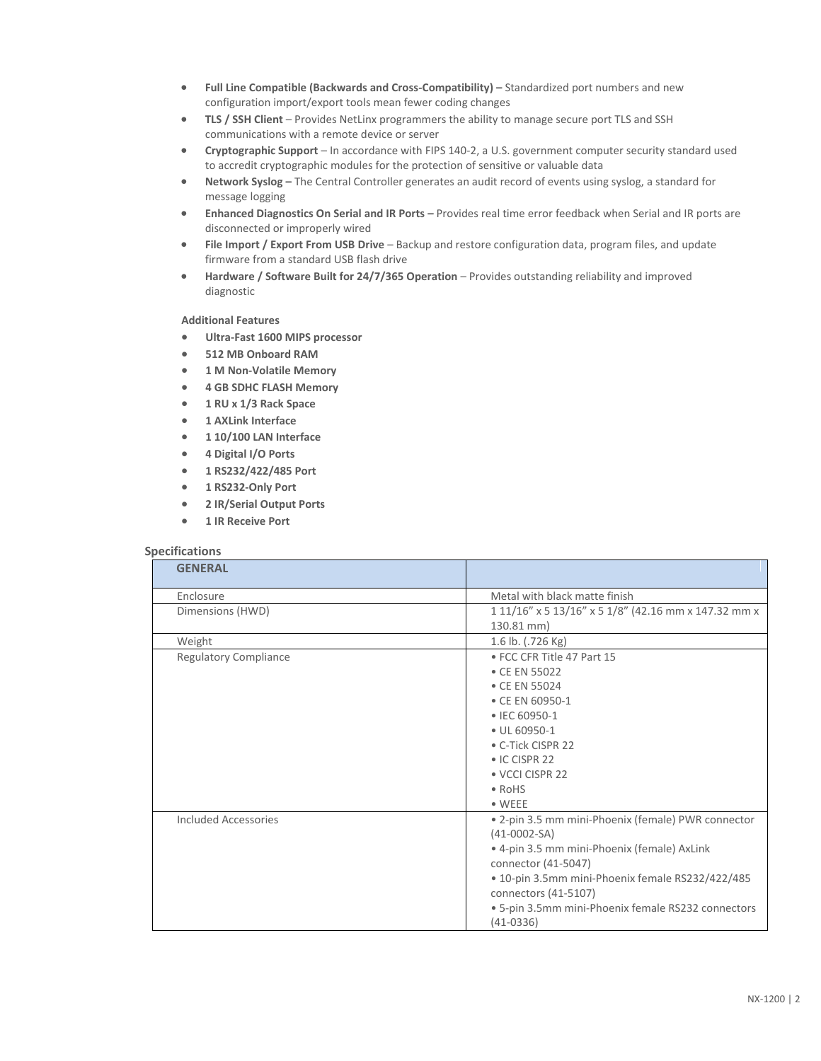- **Full Line Compatible (Backwards and Cross-Compatibility) –** Standardized port numbers and new configuration import/export tools mean fewer coding changes
- **TLS / SSH Client** Provides NetLinx programmers the ability to manage secure port TLS and SSH communications with a remote device or server
- **Cryptographic Support** In accordance with FIPS 140-2, a U.S. government computer security standard used to accredit cryptographic modules for the protection of sensitive or valuable data
- **Network Syslog –** The Central Controller generates an audit record of events using syslog, a standard for message logging
- **Enhanced Diagnostics On Serial and IR Ports –** Provides real time error feedback when Serial and IR ports are disconnected or improperly wired
- **File Import / Export From USB Drive** Backup and restore configuration data, program files, and update firmware from a standard USB flash drive
- **Hardware / Software Built for 24/7/365 Operation** Provides outstanding reliability and improved diagnostic

### **Additional Features**

- **Ultra-Fast 1600 MIPS processor**
- **512 MB Onboard RAM**
- **1 M Non-Volatile Memory**
- **4 GB SDHC FLASH Memory**
- **1 RU x 1/3 Rack Space**
- **1 AXLink Interface**
- **1 10/100 LAN Interface**
- **4 Digital I/O Ports**
- **1 RS232/422/485 Port**
- **1 RS232-Only Port**
- **2 IR/Serial Output Ports**
- **1 IR Receive Port**

#### **Specifications**

| <b>GENERAL</b>               |                                                                   |
|------------------------------|-------------------------------------------------------------------|
| Enclosure                    | Metal with black matte finish                                     |
| Dimensions (HWD)             | 1 11/16" x 5 13/16" x 5 1/8" (42.16 mm x 147.32 mm x              |
|                              | 130.81 mm)                                                        |
| Weight                       | 1.6 lb. (.726 Kg)                                                 |
| <b>Regulatory Compliance</b> | • FCC CFR Title 47 Part 15                                        |
|                              | • CE EN 55022                                                     |
|                              | • CE EN 55024                                                     |
|                              | • CE EN 60950-1                                                   |
|                              | • IEC 60950-1                                                     |
|                              | • UL 60950-1                                                      |
|                              | • C-Tick CISPR 22                                                 |
|                              | • IC CISPR 22                                                     |
|                              | • VCCI CISPR 22                                                   |
|                              | $\bullet$ RoHS                                                    |
|                              | $\bullet$ WEEE                                                    |
| Included Accessories         | • 2-pin 3.5 mm mini-Phoenix (female) PWR connector                |
|                              | $(41-0002-SA)$                                                    |
|                              | · 4-pin 3.5 mm mini-Phoenix (female) AxLink                       |
|                              | connector (41-5047)                                               |
|                              | . 10-pin 3.5mm mini-Phoenix female RS232/422/485                  |
|                              | connectors (41-5107)                                              |
|                              | · 5-pin 3.5mm mini-Phoenix female RS232 connectors<br>$(41-0336)$ |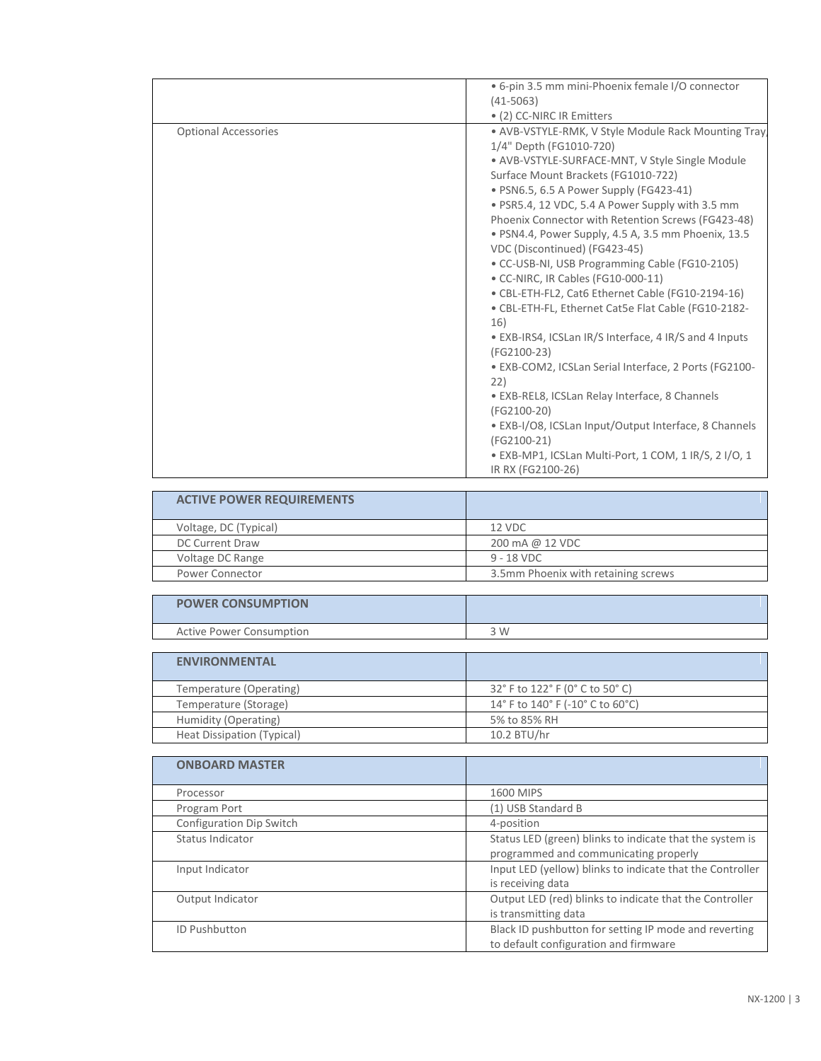| • (2) CC-NIRC IR Emitters<br><b>Optional Accessories</b><br>1/4" Depth (FG1010-720)<br>• AVB-VSTYLE-SURFACE-MNT, V Style Single Module<br>Surface Mount Brackets (FG1010-722)<br>• PSN6.5, 6.5 A Power Supply (FG423-41)<br>• PSR5.4, 12 VDC, 5.4 A Power Supply with 3.5 mm<br>Phoenix Connector with Retention Screws (FG423-48)<br>• PSN4.4, Power Supply, 4.5 A, 3.5 mm Phoenix, 13.5<br>VDC (Discontinued) (FG423-45)<br>• CC-USB-NI, USB Programming Cable (FG10-2105)<br>• CC-NIRC, IR Cables (FG10-000-11)<br>• CBL-ETH-FL2, Cat6 Ethernet Cable (FG10-2194-16)<br>• CBL-ETH-FL, Ethernet Cat5e Flat Cable (FG10-2182-<br>16)<br>• EXB-IRS4, ICSLan IR/S Interface, 4 IR/S and 4 Inputs<br>(FG2100-23)<br>· EXB-COM2, ICSLan Serial Interface, 2 Ports (FG2100-<br>22) | · 6-pin 3.5 mm mini-Phoenix female I/O connector<br>$(41 - 5063)$ |
|--------------------------------------------------------------------------------------------------------------------------------------------------------------------------------------------------------------------------------------------------------------------------------------------------------------------------------------------------------------------------------------------------------------------------------------------------------------------------------------------------------------------------------------------------------------------------------------------------------------------------------------------------------------------------------------------------------------------------------------------------------------------------------|-------------------------------------------------------------------|
|                                                                                                                                                                                                                                                                                                                                                                                                                                                                                                                                                                                                                                                                                                                                                                                |                                                                   |
| • EXB-REL8, ICSLan Relay Interface, 8 Channels<br>(FG2100-20)<br>• EXB-I/O8, ICSLan Input/Output Interface, 8 Channels<br>(FG2100-21)<br>$\bullet$ EXB-MP1, ICSLan Multi-Port, 1 COM, 1 IR/S, 2 I/O, 1                                                                                                                                                                                                                                                                                                                                                                                                                                                                                                                                                                         | • AVB-VSTYLE-RMK, V Style Module Rack Mounting Tray               |

| <b>ACTIVE POWER REQUIREMENTS</b> |                                     |
|----------------------------------|-------------------------------------|
| Voltage, DC (Typical)            | 12 VDC                              |
| DC Current Draw                  | 200 mA @ 12 VDC                     |
| Voltage DC Range                 | $9 - 18$ VDC                        |
| Power Connector                  | 3.5mm Phoenix with retaining screws |

| <b>POWER CONSUMPTION</b>        |     |
|---------------------------------|-----|
| <b>Active Power Consumption</b> | 3 W |
|                                 |     |

| <b>ENVIRONMENTAL</b>       |                                  |
|----------------------------|----------------------------------|
| Temperature (Operating)    | 32° F to 122° F (0° C to 50° C)  |
| Temperature (Storage)      | 14° F to 140° F (-10° C to 60°C) |
| Humidity (Operating)       | 5% to 85% RH                     |
| Heat Dissipation (Typical) | 10.2 BTU/hr                      |

| <b>ONBOARD MASTER</b>    |                                                                                                   |
|--------------------------|---------------------------------------------------------------------------------------------------|
| Processor                | 1600 MIPS                                                                                         |
| Program Port             | (1) USB Standard B                                                                                |
| Configuration Dip Switch | 4-position                                                                                        |
| Status Indicator         | Status LED (green) blinks to indicate that the system is<br>programmed and communicating properly |
| Input Indicator          | Input LED (yellow) blinks to indicate that the Controller<br>is receiving data                    |
| Output Indicator         | Output LED (red) blinks to indicate that the Controller<br>is transmitting data                   |
| <b>ID Pushbutton</b>     | Black ID pushbutton for setting IP mode and reverting<br>to default configuration and firmware    |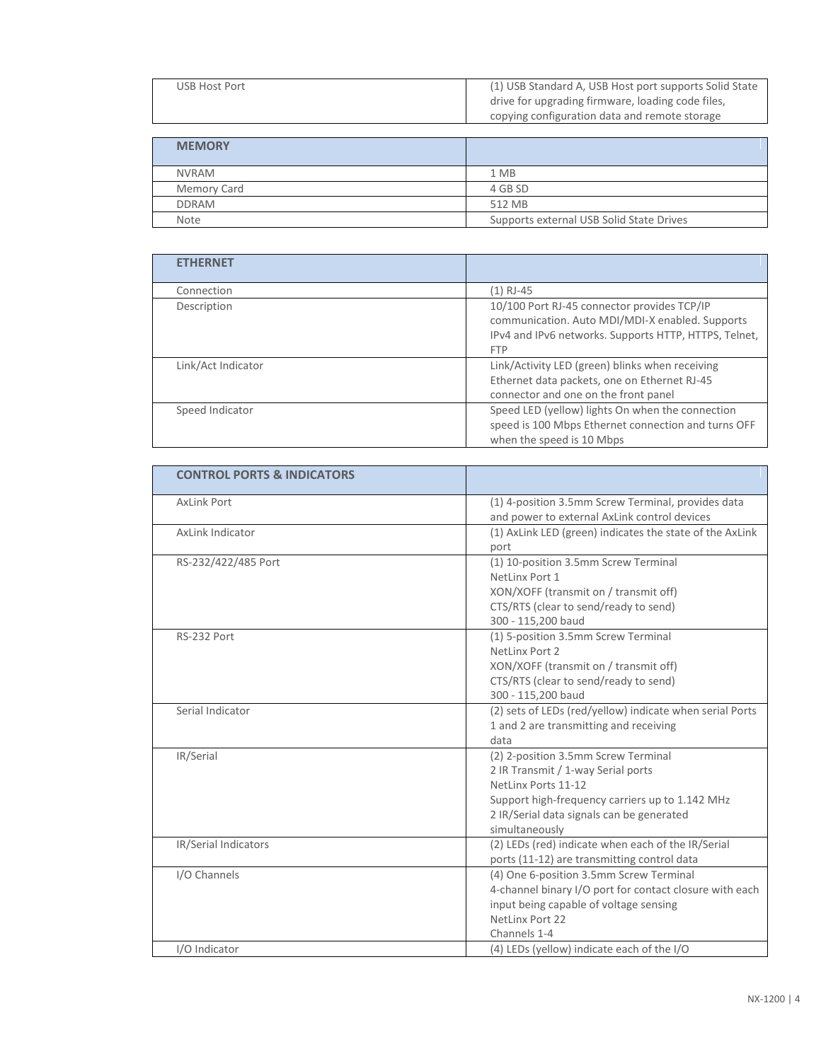| (1) USB Standard A, USB Host port supports Solid State<br>drive for upgrading firmware, loading code files,<br>copying configuration data and remote storage |
|--------------------------------------------------------------------------------------------------------------------------------------------------------------|
|                                                                                                                                                              |
|                                                                                                                                                              |
|                                                                                                                                                              |
| 1 MB                                                                                                                                                         |
| 4 GB SD                                                                                                                                                      |
| 512 MB                                                                                                                                                       |
| Supports external USB Solid State Drives                                                                                                                     |
|                                                                                                                                                              |

| <b>ETHERNET</b>    |                                                                                                                                                                       |
|--------------------|-----------------------------------------------------------------------------------------------------------------------------------------------------------------------|
| Connection         | (1) RJ-45                                                                                                                                                             |
| Description        | 10/100 Port RJ-45 connector provides TCP/IP<br>communication. Auto MDI/MDI-X enabled. Supports<br>IPv4 and IPv6 networks. Supports HTTP, HTTPS, Telnet,<br><b>FTP</b> |
| Link/Act Indicator | Link/Activity LED (green) blinks when receiving<br>Ethernet data packets, one on Ethernet RJ-45<br>connector and one on the front panel                               |
| Speed Indicator    | Speed LED (yellow) lights On when the connection<br>speed is 100 Mbps Ethernet connection and turns OFF<br>when the speed is 10 Mbps                                  |

| <b>CONTROL PORTS &amp; INDICATORS</b> |                                                          |
|---------------------------------------|----------------------------------------------------------|
| <b>AxLink Port</b>                    | (1) 4-position 3.5mm Screw Terminal, provides data       |
|                                       | and power to external AxLink control devices             |
| AxLink Indicator                      | (1) AxLink LED (green) indicates the state of the AxLink |
|                                       | port                                                     |
| RS-232/422/485 Port                   | (1) 10-position 3.5mm Screw Terminal                     |
|                                       | NetLinx Port 1                                           |
|                                       | XON/XOFF (transmit on / transmit off)                    |
|                                       | CTS/RTS (clear to send/ready to send)                    |
|                                       | 300 - 115,200 baud                                       |
| RS-232 Port                           | (1) 5-position 3.5mm Screw Terminal                      |
|                                       | NetLinx Port 2                                           |
|                                       | XON/XOFF (transmit on / transmit off)                    |
|                                       | CTS/RTS (clear to send/ready to send)                    |
|                                       | 300 - 115,200 baud                                       |
| Serial Indicator                      | (2) sets of LEDs (red/yellow) indicate when serial Ports |
|                                       | 1 and 2 are transmitting and receiving                   |
|                                       | data                                                     |
| IR/Serial                             | (2) 2-position 3.5mm Screw Terminal                      |
|                                       | 2 IR Transmit / 1-way Serial ports                       |
|                                       | NetLinx Ports 11-12                                      |
|                                       | Support high-frequency carriers up to 1.142 MHz          |
|                                       | 2 IR/Serial data signals can be generated                |
|                                       | simultaneously                                           |
| IR/Serial Indicators                  | (2) LEDs (red) indicate when each of the IR/Serial       |
|                                       | ports (11-12) are transmitting control data              |
| I/O Channels                          | (4) One 6-position 3.5mm Screw Terminal                  |
|                                       | 4-channel binary I/O port for contact closure with each  |
|                                       | input being capable of voltage sensing                   |
|                                       | NetLinx Port 22                                          |
|                                       | Channels 1-4                                             |
| I/O Indicator                         | (4) LEDs (yellow) indicate each of the I/O               |